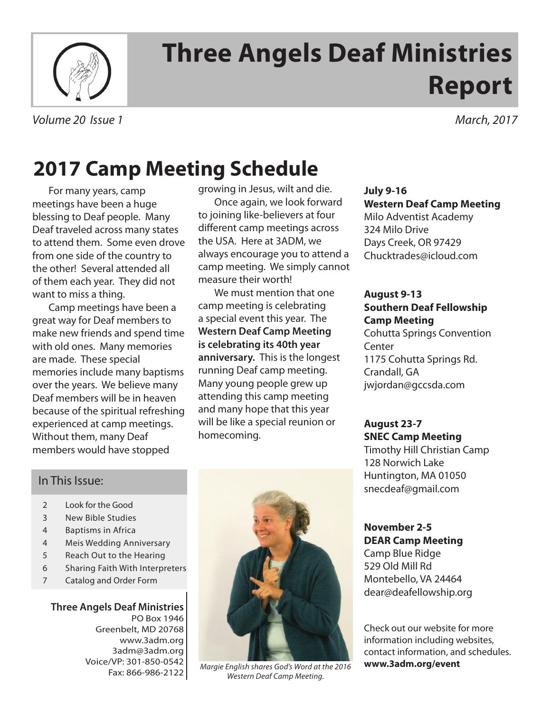

# **Three Angels Deaf Ministries Report**

*Volume 20 Issue 1 March, 2017*

# **2017 Camp Meeting Schedule**

For many years, camp meetings have been a huge blessing to Deaf people. Many Deaf traveled across many states to attend them. Some even drove from one side of the country to the other! Several attended all of them each year. They did not want to miss a thing.

Camp meetings have been a great way for Deaf members to make new friends and spend time with old ones. Many memories are made. These special memories include many baptisms over the years. We believe many Deaf members will be in heaven because of the spiritual refreshing experienced at camp meetings. Without them, many Deaf members would have stopped

growing in Jesus, wilt and die. Once again, we look forward to joining like-believers at four different camp meetings across the USA. Here at 3ADM, we always encourage you to attend a camp meeting. We simply cannot measure their worth!

We must mention that one camp meeting is celebrating a special event this year. The **Western Deaf Camp Meeting is celebrating its 40th year anniversary.** This is the longest running Deaf camp meeting. Many young people grew up attending this camp meeting and many hope that this year will be like a special reunion or homecoming.

**July 9-16 Western Deaf Camp Meeting** Milo Adventist Academy 324 Milo Drive Days Creek, OR 97429 Chucktrades@icloud.com

### **August 9-13 Southern Deaf Fellowship Camp Meeting**

Cohutta Springs Convention Center 1175 Cohutta Springs Rd. Crandall, GA jwjordan@gccsda.com

## **August 23-7 SNEC Camp Meeting**

Timothy Hill Christian Camp 128 Norwich Lake Huntington, MA 01050 snecdeaf@gmail.com

### **November 2-5 DEAR Camp Meeting** Camp Blue Ridge 529 Old Mill Rd

Montebello, VA 24464 dear@deafellowship.org

Check out our website for more information including websites, contact information, and schedules. **www.3adm.org/event**

## In This Issue:

- 2 Look for the Good
- 3 New Bible Studies
- 4 Baptisms in Africa
- 4 Meis Wedding Anniversary
- 5 Reach Out to the Hearing
- 6 Sharing Faith With Interpreters
- 7 Catalog and Order Form

### **Three Angels Deaf Ministries** PO Box 1946 Greenbelt, MD 20768 www.3adm.org 3adm@3adm.org Voice/VP: 301-850-0542 Fax: 866-986-2122



*Margie English shares God's Word at the 2016 Western Deaf Camp Meeting.*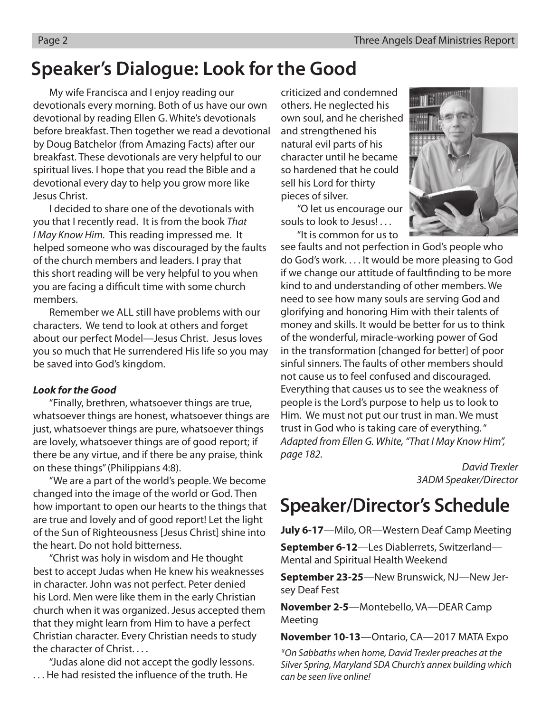# **Speaker's Dialogue: Look for the Good**

My wife Francisca and I enjoy reading our devotionals every morning. Both of us have our own devotional by reading Ellen G. White's devotionals before breakfast. Then together we read a devotional by Doug Batchelor (from Amazing Facts) after our breakfast. These devotionals are very helpful to our spiritual lives. I hope that you read the Bible and a devotional every day to help you grow more like Jesus Christ.

I decided to share one of the devotionals with you that I recently read. It is from the book *That I May Know Him.* This reading impressed me. It helped someone who was discouraged by the faults of the church members and leaders. I pray that this short reading will be very helpful to you when you are facing a difficult time with some church members.

Remember we ALL still have problems with our characters. We tend to look at others and forget about our perfect Model—Jesus Christ. Jesus loves you so much that He surrendered His life so you may be saved into God's kingdom.

### *Look for the Good*

"Finally, brethren, whatsoever things are true, whatsoever things are honest, whatsoever things are just, whatsoever things are pure, whatsoever things are lovely, whatsoever things are of good report; if there be any virtue, and if there be any praise, think on these things" (Philippians 4:8).

"We are a part of the world's people. We become changed into the image of the world or God. Then how important to open our hearts to the things that are true and lovely and of good report! Let the light of the Sun of Righteousness [Jesus Christ] shine into the heart. Do not hold bitterness.

"Christ was holy in wisdom and He thought best to accept Judas when He knew his weaknesses in character. John was not perfect. Peter denied his Lord. Men were like them in the early Christian church when it was organized. Jesus accepted them that they might learn from Him to have a perfect Christian character. Every Christian needs to study the character of Christ. . . .

"Judas alone did not accept the godly lessons. . . . He had resisted the influence of the truth. He

criticized and condemned others. He neglected his own soul, and he cherished and strengthened his natural evil parts of his character until he became so hardened that he could sell his Lord for thirty pieces of silver.

"O let us encourage our souls to look to Jesus!...

"It is common for us to

see faults and not perfection in God's people who do God's work. . . . It would be more pleasing to God if we change our attitude of faultfinding to be more kind to and understanding of other members. We need to see how many souls are serving God and glorifying and honoring Him with their talents of money and skills. It would be better for us to think of the wonderful, miracle-working power of God in the transformation [changed for better] of poor sinful sinners. The faults of other members should not cause us to feel confused and discouraged. Everything that causes us to see the weakness of people is the Lord's purpose to help us to look to Him. We must not put our trust in man. We must trust in God who is taking care of everything. " *Adapted from Ellen G. White, "That I May Know Him", page 182.* 

> *David Trexler 3ADM Speaker/Director*

# **Speaker/Director's Schedule**

**July 6-17**—Milo, OR—Western Deaf Camp Meeting

**September 6-12**—Les Diablerrets, Switzerland— Mental and Spiritual Health Weekend

**September 23-25**—New Brunswick, NJ—New Jersey Deaf Fest

**November 2-5**—Montebello, VA—DEAR Camp Meeting

**November 10-13**—Ontario, CA—2017 MATA Expo

*\*On Sabbaths when home, David Trexler preaches at the Silver Spring, Maryland SDA Church's annex building which can be seen live online!* 

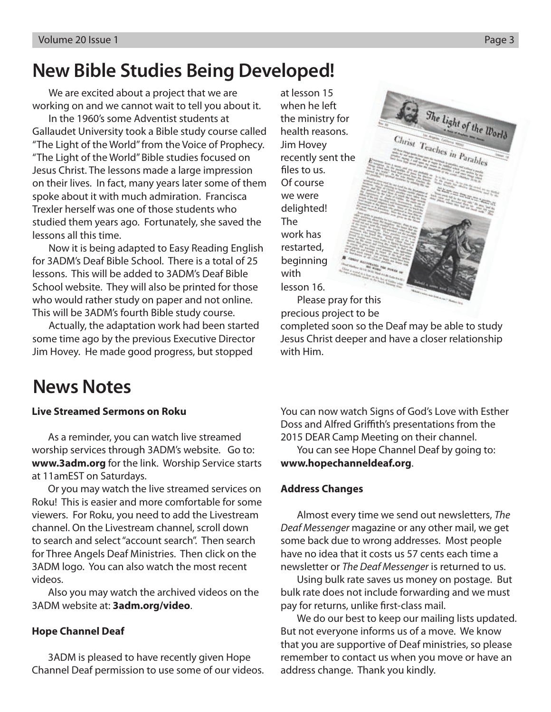# **New Bible Studies Being Developed!**

We are excited about a project that we are working on and we cannot wait to tell you about it.

In the 1960's some Adventist students at Gallaudet University took a Bible study course called "The Light of the World" from the Voice of Prophecy. "The Light of the World" Bible studies focused on Jesus Christ. The lessons made a large impression on their lives. In fact, many years later some of them spoke about it with much admiration. Francisca Trexler herself was one of those students who studied them years ago. Fortunately, she saved the lessons all this time.

Now it is being adapted to Easy Reading English for 3ADM's Deaf Bible School. There is a total of 25 lessons. This will be added to 3ADM's Deaf Bible School website. They will also be printed for those who would rather study on paper and not online. This will be 3ADM's fourth Bible study course.

Actually, the adaptation work had been started some time ago by the previous Executive Director Jim Hovey. He made good progress, but stopped

at lesson 15 when he left the ministry for health reasons. Jim Hovey recently sent the files to us. Of course we were delighted! The work has restarted, beginning with lesson 16.

Please pray for this precious project to be

completed soon so the Deaf may be able to study Jesus Christ deeper and have a closer relationship with Him.

# **News Notes**

### **Live Streamed Sermons on Roku**

As a reminder, you can watch live streamed worship services through 3ADM's website. Go to: **www.3adm.org** for the link. Worship Service starts at 11amEST on Saturdays.

Or you may watch the live streamed services on Roku! This is easier and more comfortable for some viewers. For Roku, you need to add the Livestream channel. On the Livestream channel, scroll down to search and select "account search". Then search for Three Angels Deaf Ministries. Then click on the 3ADM logo. You can also watch the most recent videos.

Also you may watch the archived videos on the 3ADM website at: **3adm.org/video**.

### **Hope Channel Deaf**

3ADM is pleased to have recently given Hope Channel Deaf permission to use some of our videos. You can now watch Signs of God's Love with Esther Doss and Alfred Griffith's presentations from the 2015 DEAR Camp Meeting on their channel.

You can see Hope Channel Deaf by going to: **www.hopechanneldeaf.org**.

### **Address Changes**

Almost every time we send out newsletters, *The Deaf Messenger* magazine or any other mail, we get some back due to wrong addresses. Most people have no idea that it costs us 57 cents each time a newsletter or *The Deaf Messenger* is returned to us.

Using bulk rate saves us money on postage. But bulk rate does not include forwarding and we must pay for returns, unlike first-class mail.

We do our best to keep our mailing lists updated. But not everyone informs us of a move. We know that you are supportive of Deaf ministries, so please remember to contact us when you move or have an address change. Thank you kindly.

The light of the  $w_{\text{ord}}$ 

Christ Teaches in Parables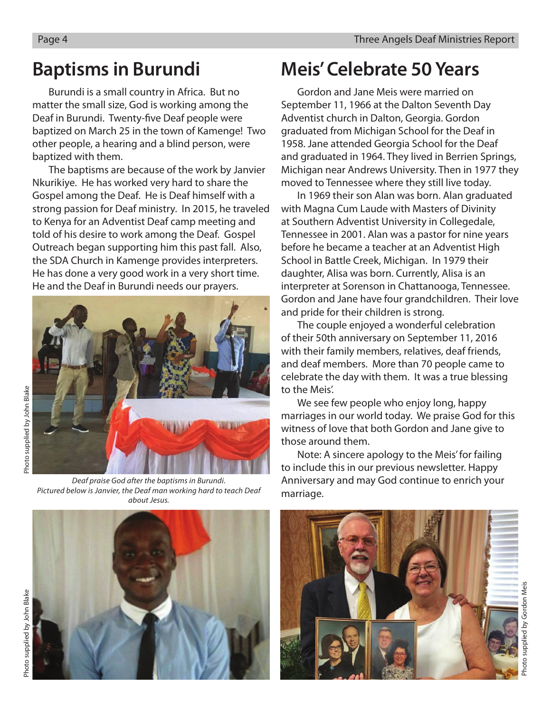Burundi is a small country in Africa. But no matter the small size, God is working among the Deaf in Burundi. Twenty-five Deaf people were baptized on March 25 in the town of Kamenge! Two other people, a hearing and a blind person, were baptized with them.

The baptisms are because of the work by Janvier Nkurikiye. He has worked very hard to share the Gospel among the Deaf. He is Deaf himself with a strong passion for Deaf ministry. In 2015, he traveled to Kenya for an Adventist Deaf camp meeting and told of his desire to work among the Deaf. Gospel Outreach began supporting him this past fall. Also, the SDA Church in Kamenge provides interpreters. He has done a very good work in a very short time. He and the Deaf in Burundi needs our prayers.



*Deaf praise God after the baptisms in Burundi. Pictured below is Janvier, the Deaf man working hard to teach Deaf about Jesus.* 

# **Baptisms in Burundi Meis' Celebrate 50 Years**

Gordon and Jane Meis were married on September 11, 1966 at the Dalton Seventh Day Adventist church in Dalton, Georgia. Gordon graduated from Michigan School for the Deaf in 1958. Jane attended Georgia School for the Deaf and graduated in 1964. They lived in Berrien Springs, Michigan near Andrews University. Then in 1977 they moved to Tennessee where they still live today.

In 1969 their son Alan was born. Alan graduated with Magna Cum Laude with Masters of Divinity at Southern Adventist University in Collegedale, Tennessee in 2001. Alan was a pastor for nine years before he became a teacher at an Adventist High School in Battle Creek, Michigan. In 1979 their daughter, Alisa was born. Currently, Alisa is an interpreter at Sorenson in Chattanooga, Tennessee. Gordon and Jane have four grandchildren. Their love and pride for their children is strong.

The couple enjoyed a wonderful celebration of their 50th anniversary on September 11, 2016 with their family members, relatives, deaf friends, and deaf members. More than 70 people came to celebrate the day with them. It was a true blessing to the Meis'.

We see few people who enjoy long, happy marriages in our world today. We praise God for this witness of love that both Gordon and Jane give to those around them.

Note: A sincere apology to the Meis' for failing to include this in our previous newsletter. Happy Anniversary and may God continue to enrich your marriage.



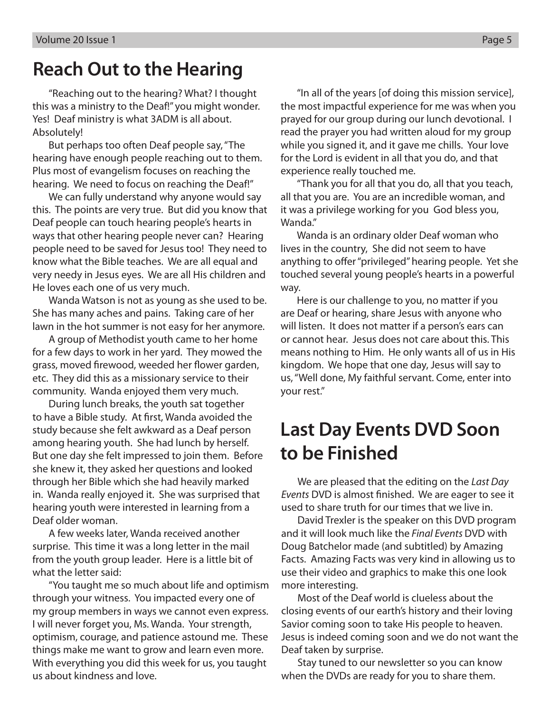# **Reach Out to the Hearing**

"Reaching out to the hearing? What? I thought this was a ministry to the Deaf!" you might wonder. Yes! Deaf ministry is what 3ADM is all about. Absolutely!

But perhaps too often Deaf people say, "The hearing have enough people reaching out to them. Plus most of evangelism focuses on reaching the hearing. We need to focus on reaching the Deaf!"

We can fully understand why anyone would say this. The points are very true. But did you know that Deaf people can touch hearing people's hearts in ways that other hearing people never can? Hearing people need to be saved for Jesus too! They need to know what the Bible teaches. We are all equal and very needy in Jesus eyes. We are all His children and He loves each one of us very much.

Wanda Watson is not as young as she used to be. She has many aches and pains. Taking care of her lawn in the hot summer is not easy for her anymore.

A group of Methodist youth came to her home for a few days to work in her yard. They mowed the grass, moved firewood, weeded her flower garden, etc. They did this as a missionary service to their community. Wanda enjoyed them very much.

During lunch breaks, the youth sat together to have a Bible study. At first, Wanda avoided the study because she felt awkward as a Deaf person among hearing youth. She had lunch by herself. But one day she felt impressed to join them. Before she knew it, they asked her questions and looked through her Bible which she had heavily marked in. Wanda really enjoyed it. She was surprised that hearing youth were interested in learning from a Deaf older woman.

A few weeks later, Wanda received another surprise. This time it was a long letter in the mail from the youth group leader. Here is a little bit of what the letter said:

"You taught me so much about life and optimism through your witness. You impacted every one of my group members in ways we cannot even express. I will never forget you, Ms. Wanda. Your strength, optimism, courage, and patience astound me. These things make me want to grow and learn even more. With everything you did this week for us, you taught us about kindness and love.

"In all of the years [of doing this mission service], the most impactful experience for me was when you prayed for our group during our lunch devotional. I read the prayer you had written aloud for my group while you signed it, and it gave me chills. Your love for the Lord is evident in all that you do, and that experience really touched me.

"Thank you for all that you do, all that you teach, all that you are. You are an incredible woman, and it was a privilege working for you God bless you, Wanda."

Wanda is an ordinary older Deaf woman who lives in the country, She did not seem to have anything to offer "privileged" hearing people. Yet she touched several young people's hearts in a powerful way.

Here is our challenge to you, no matter if you are Deaf or hearing, share Jesus with anyone who will listen. It does not matter if a person's ears can or cannot hear. Jesus does not care about this. This means nothing to Him. He only wants all of us in His kingdom. We hope that one day, Jesus will say to us, "Well done, My faithful servant. Come, enter into your rest."

# **Last Day Events DVD Soon to be Finished**

We are pleased that the editing on the *Last Day Events* DVD is almost finished. We are eager to see it used to share truth for our times that we live in.

David Trexler is the speaker on this DVD program and it will look much like the *Final Events* DVD with Doug Batchelor made (and subtitled) by Amazing Facts. Amazing Facts was very kind in allowing us to use their video and graphics to make this one look more interesting.

Most of the Deaf world is clueless about the closing events of our earth's history and their loving Savior coming soon to take His people to heaven. Jesus is indeed coming soon and we do not want the Deaf taken by surprise.

Stay tuned to our newsletter so you can know when the DVDs are ready for you to share them.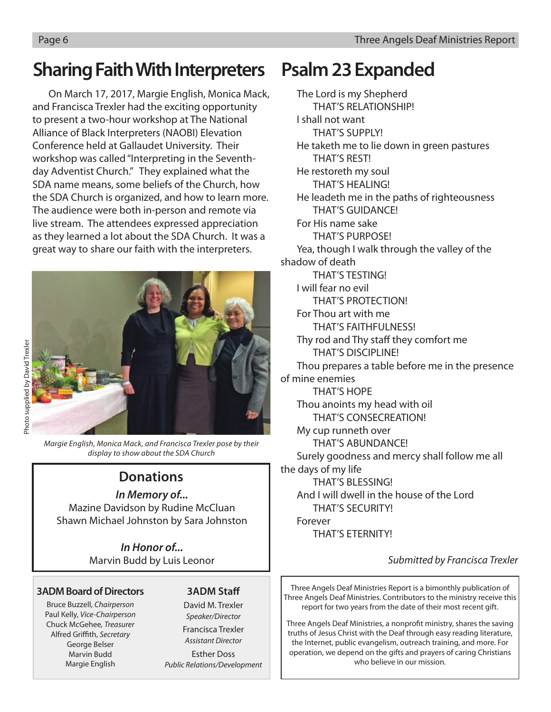# **Sharing Faith With Interpreters**

On March 17, 2017, Margie English, Monica Mack, and Francisca Trexler had the exciting opportunity to present a two-hour workshop at The National Alliance of Black Interpreters (NAOBI) Elevation Conference held at Gallaudet University. Their workshop was called "Interpreting in the Seventhday Adventist Church." They explained what the SDA name means, some beliefs of the Church, how the SDA Church is organized, and how to learn more. The audience were both in-person and remote via live stream. The attendees expressed appreciation as they learned a lot about the SDA Church. It was a great way to share our faith with the interpreters.



*Margie English, Monica Mack, and Francisca Trexler pose by their display to show about the SDA Church*

## **Donations**

### *In Memory of...*

Mazine Davidson by Rudine McCluan Shawn Michael Johnston by Sara Johnston

> *In Honor of...* Marvin Budd by Luis Leonor

### **3ADM Board of Directors**

Bruce Buzzell, *Chairperson* Paul Kelly, *Vice-Chairperson* Chuck McGehee*, Treasurer* Alfred Griffith, *Secretary* George Belser Marvin Budd Margie English

## **3ADM Staff**

David M. Trexler *Speaker/Director* Francisca Trexler

*Assistant Director*

Esther Doss *Public Relations/Development*

# **Psalm 23 Expanded**

The Lord is my Shepherd THAT'S RELATIONSHIP! I shall not want THAT'S SUPPLY! He taketh me to lie down in green pastures THAT'S REST! He restoreth my soul THAT'S HEALING! He leadeth me in the paths of righteousness THAT'S GUIDANCE! For His name sake THAT'S PURPOSE! Yea, though I walk through the valley of the shadow of death THAT'S TESTING! I will fear no evil THAT'S PROTECTION! For Thou art with me THAT'S FAITHFULNESS! Thy rod and Thy staff they comfort me THAT'S DISCIPLINE! Thou prepares a table before me in the presence of mine enemies THAT'S HOPE Thou anoints my head with oil THAT'S CONSECREATION! My cup runneth over THAT'S ABUNDANCE! Surely goodness and mercy shall follow me all the days of my life THAT'S BLESSING! And I will dwell in the house of the Lord THAT'S SECURITY! Forever THAT'S ETERNITY!

## *Submitted by Francisca Trexler*

Three Angels Deaf Ministries Report is a bimonthly publication of Three Angels Deaf Ministries. Contributors to the ministry receive this report for two years from the date of their most recent gift.

Three Angels Deaf Ministries, a nonprofit ministry, shares the saving truths of Jesus Christ with the Deaf through easy reading literature, the Internet, public evangelism, outreach training, and more. For operation, we depend on the gifts and prayers of caring Christians who believe in our mission.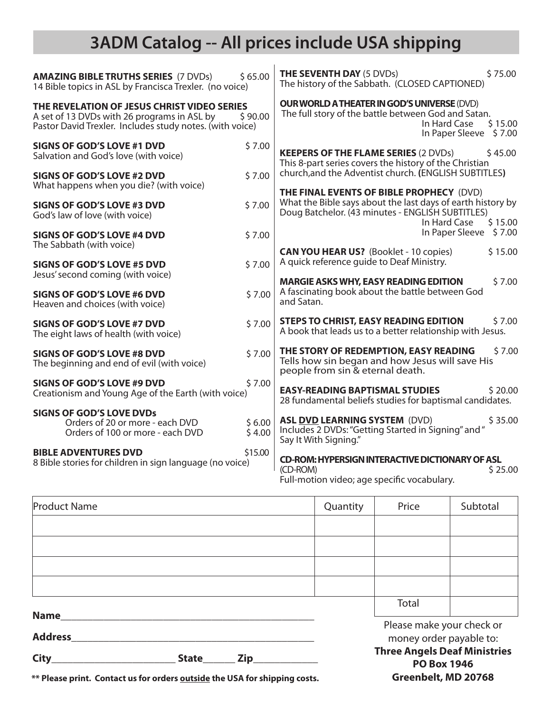# **3ADM Catalog -- All prices include USA shipping**

| \$65.00<br><b>AMAZING BIBLE TRUTHS SERIES (7 DVDs)</b><br>14 Bible topics in ASL by Francisca Trexler. (no voice)                                      |                                                                                                                                                                   | \$75.00<br><b>THE SEVENTH DAY (5 DVDs)</b><br>The history of the Sabbath. (CLOSED CAPTIONED)                                                                                           |  |  |
|--------------------------------------------------------------------------------------------------------------------------------------------------------|-------------------------------------------------------------------------------------------------------------------------------------------------------------------|----------------------------------------------------------------------------------------------------------------------------------------------------------------------------------------|--|--|
| THE REVELATION OF JESUS CHRIST VIDEO SERIES<br>A set of 13 DVDs with 26 programs in ASL by<br>Pastor David Trexler. Includes study notes. (with voice) | <b>OUR WORLD A THEATER IN GOD'S UNIVERSE (DVD)</b><br>The full story of the battle between God and Satan.<br>In Hard Case<br>\$15.00<br>In Paper Sleeve<br>\$7.00 |                                                                                                                                                                                        |  |  |
| <b>SIGNS OF GOD'S LOVE #1 DVD</b><br>Salvation and God's love (with voice)                                                                             | \$7.00                                                                                                                                                            | <b>KEEPERS OF THE FLAME SERIES (2 DVDs)</b><br>\$45.00<br>This 8-part series covers the history of the Christian                                                                       |  |  |
| <b>SIGNS OF GOD'S LOVE #2 DVD</b>                                                                                                                      | \$7.00                                                                                                                                                            | church, and the Adventist church. (ENGLISH SUBTITLES)                                                                                                                                  |  |  |
| What happens when you die? (with voice)<br><b>SIGNS OF GOD'S LOVE #3 DVD</b><br>God's law of love (with voice)                                         | \$7.00                                                                                                                                                            | THE FINAL EVENTS OF BIBLE PROPHECY (DVD)<br>What the Bible says about the last days of earth history by<br>Doug Batchelor. (43 minutes - ENGLISH SUBTITLES)<br>In Hard Case<br>\$15.00 |  |  |
| <b>SIGNS OF GOD'S LOVE #4 DVD</b><br>The Sabbath (with voice)                                                                                          | \$7.00                                                                                                                                                            | In Paper Sleeve<br>\$7.00                                                                                                                                                              |  |  |
| <b>SIGNS OF GOD'S LOVE #5 DVD</b><br>Jesus' second coming (with voice)                                                                                 | \$7.00                                                                                                                                                            | <b>CAN YOU HEAR US?</b> (Booklet - 10 copies)<br>\$15.00<br>A quick reference quide to Deaf Ministry.                                                                                  |  |  |
| <b>SIGNS OF GOD'S LOVE #6 DVD</b><br>Heaven and choices (with voice)                                                                                   | \$7.00                                                                                                                                                            | <b>MARGIE ASKS WHY, EASY READING EDITION</b><br>\$7.00<br>A fascinating book about the battle between God<br>and Satan.                                                                |  |  |
| <b>SIGNS OF GOD'S LOVE #7 DVD</b><br>The eight laws of health (with voice)                                                                             | \$7.00                                                                                                                                                            | <b>STEPS TO CHRIST, EASY READING EDITION</b><br>\$7.00<br>A book that leads us to a better relationship with Jesus.                                                                    |  |  |
| <b>SIGNS OF GOD'S LOVE #8 DVD</b><br>The beginning and end of evil (with voice)                                                                        | \$7.00                                                                                                                                                            | THE STORY OF REDEMPTION, EASY READING<br>\$7.00<br>Tells how sin began and how Jesus will save His<br>people from sin & eternal death.                                                 |  |  |
| <b>SIGNS OF GOD'S LOVE #9 DVD</b><br>Creationism and Young Age of the Earth (with voice)                                                               | \$7.00                                                                                                                                                            | <b>EASY-READING BAPTISMAL STUDIES</b><br>\$20.00<br>28 fundamental beliefs studies for baptismal candidates.                                                                           |  |  |
| <b>SIGNS OF GOD'S LOVE DVDs</b><br>Orders of 20 or more - each DVD<br>Orders of 100 or more - each DVD                                                 | \$6.00<br>\$4.00                                                                                                                                                  | <b>ASL DVD LEARNING SYSTEM (DVD)</b><br>\$35.00<br>Includes 2 DVDs: "Getting Started in Signing" and "<br>Say It With Signing."                                                        |  |  |
| <b>BIBLE ADVENTURES DVD</b><br>8 Bible stories for children in sign language (no voice)                                                                | \$15.00                                                                                                                                                           | <b>CD-ROM: HYPERSIGN INTERACTIVE DICTIONARY OF ASL</b><br>(CD-ROM)<br>\$25.00<br>Full-motion video; age specific vocabulary.                                                           |  |  |

| <b>Product Name</b> |              |  | Quantity | Price                                                     | Subtotal |  |
|---------------------|--------------|--|----------|-----------------------------------------------------------|----------|--|
|                     |              |  |          |                                                           |          |  |
|                     |              |  |          |                                                           |          |  |
|                     |              |  |          |                                                           |          |  |
|                     |              |  |          |                                                           |          |  |
| <b>Name</b>         |              |  |          | Total                                                     |          |  |
| <b>Address</b>      |              |  |          | Please make your check or<br>money order payable to:      |          |  |
| City                | <b>State</b> |  |          | <b>Three Angels Deaf Ministries</b><br><b>PO Box 1946</b> |          |  |

**Greenbelt, MD 20768**

**\*\* Please print. Contact us for orders outside the USA for shipping costs.**